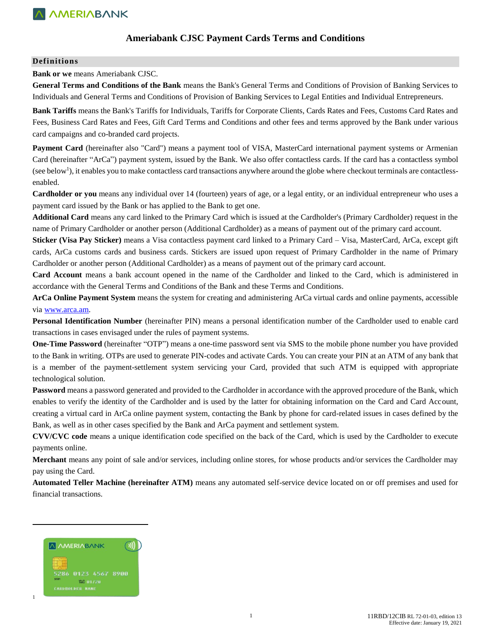### **Ameriabank CJSC Payment Cards Terms and Conditions**

#### **Definitions**

**Bank or we** means Ameriabank CJSC.

**General Terms and Conditions of the Bank** means the Bank's General Terms and Conditions of Provision of Banking Services to Individuals and General Terms and Conditions of Provision of Banking Services to Legal Entities and Individual Entrepreneurs.

**Bank Tariffs** means the Bank's Tariffs for Individuals, Tariffs for Corporate Clients, Cards Rates and Fees, Customs Card Rates and Fees, Business Card Rates and Fees, Gift Card Terms and Conditions and other fees and terms approved by the Bank under various card campaigns and co-branded card projects.

**Payment Card** (hereinafter also "Card") means a payment tool of VISA, MasterCard international payment systems or Armenian Card (hereinafter "ArCa") payment system, issued by the Bank. We also offer contactless cards. If the card has a contactless symbol  $($ see below $<sup>1</sup>$ ), it enables you to make contactless card transactions anywhere around the globe where checkout terminals are contactless-</sup> enabled.

**Cardholder or you** means any individual over 14 (fourteen) years of age, or a legal entity, or an individual entrepreneur who uses a payment card issued by the Bank or has applied to the Bank to get one.

**Additional Card** means any card linked to the Primary Card which is issued at the Cardholder's (Primary Cardholder) request in the name of Primary Cardholder or another person (Additional Cardholder) as a means of payment out of the primary card account.

**Sticker (Visa Pay Sticker)** means a Visa contactless payment card linked to a Primary Card – Visa, MasterCard, ArCa, except gift cards, ArCa customs cards and business cards. Stickers are issued upon request of Primary Cardholder in the name of Primary Cardholder or another person (Additional Cardholder) as a means of payment out of the primary card account.

**Card Account** means a bank account opened in the name of the Cardholder and linked to the Card, which is administered in accordance with the General Terms and Conditions of the Bank and these Terms and Conditions.

**ArCa Online Payment System** means the system for creating and administering ArCa virtual cards and online payments, accessible via [www.arca.am.](http://www.arca.am/)

**Personal Identification Number** (hereinafter PIN) means a personal identification number of the Cardholder used to enable card transactions in cases envisaged under the rules of payment systems.

**One-Time Password** (hereinafter "OTP") means a one-time password sent via SMS to the mobile phone number you have provided to the Bank in writing. OTPs are used to generate PIN-codes and activate Cards. You can create your PIN at an ATM of any bank that is a member of the payment-settlement system servicing your Card, provided that such ATM is equipped with appropriate technological solution.

**Password** means a password generated and provided to the Cardholder in accordance with the approved procedure of the Bank, which enables to verify the identity of the Cardholder and is used by the latter for obtaining information on the Card and Card Account, creating a virtual card in ArCa online payment system, contacting the Bank by phone for card-related issues in cases defined by the Bank, as well as in other cases specified by the Bank and ArCa payment and settlement system.

**CVV/CVC code** means a unique identification code specified on the back of the Card, which is used by the Cardholder to execute payments online.

**Merchant** means any point of sale and/or services, including online stores, for whose products and/or services the Cardholder may pay using the Card.

**Automated Teller Machine (hereinafter ATM)** means any automated self-service device located on or off premises and used for financial transactions.



 $\overline{\phantom{a}}$ 

1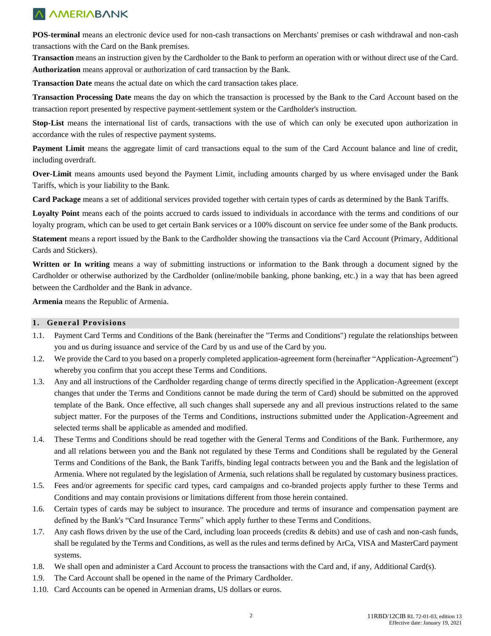**POS-terminal** means an electronic device used for non-cash transactions on Merchants' premises or cash withdrawal and non-cash transactions with the Card on the Bank premises.

**Transaction** means an instruction given by the Cardholder to the Bank to perform an operation with or without direct use of the Card. **Authorization** means approval or authorization of card transaction by the Bank.

**Transaction Date** means the actual date on which the card transaction takes place.

**Transaction Processing Date** means the day on which the transaction is processed by the Bank to the Card Account based on the transaction report presented by respective payment-settlement system or the Cardholder's instruction.

**Stop-List** means the international list of cards, transactions with the use of which can only be executed upon authorization in accordance with the rules of respective payment systems.

Payment Limit means the aggregate limit of card transactions equal to the sum of the Card Account balance and line of credit, including overdraft.

**Over-Limit** means amounts used beyond the Payment Limit, including amounts charged by us where envisaged under the Bank Tariffs, which is your liability to the Bank.

**Card Package** means a set of additional services provided together with certain types of cards as determined by the Bank Tariffs.

Loyalty Point means each of the points accrued to cards issued to individuals in accordance with the terms and conditions of our loyalty program, which can be used to get certain Bank services or a 100% discount on service fee under some of the Bank products.

**Statement** means a report issued by the Bank to the Cardholder showing the transactions via the Card Account (Primary, Additional Cards and Stickers).

**Written or In writing** means a way of submitting instructions or information to the Bank through a document signed by the Cardholder or otherwise authorized by the Cardholder (online/mobile banking, phone banking, etc.) in a way that has been agreed between the Cardholder and the Bank in advance.

**Armenia** means the Republic of Armenia.

### **1. General Provisions**

- 1.1. Payment Card Terms and Conditions of the Bank (hereinafter the "Terms and Conditions") regulate the relationships between you and us during issuance and service of the Card by us and use of the Card by you.
- 1.2. We provide the Card to you based on a properly completed application-agreement form (hereinafter "Application-Agreement") whereby you confirm that you accept these Terms and Conditions.
- 1.3. Any and all instructions of the Cardholder regarding change of terms directly specified in the Application-Agreement (except changes that under the Terms and Conditions cannot be made during the term of Card) should be submitted on the approved template of the Bank. Once effective, all such changes shall supersede any and all previous instructions related to the same subject matter. For the purposes of the Terms and Conditions, instructions submitted under the Application-Agreement and selected terms shall be applicable as amended and modified.
- 1.4. These Terms and Conditions should be read together with the General Terms and Conditions of the Bank. Furthermore, any and all relations between you and the Bank not regulated by these Terms and Conditions shall be regulated by the General Terms and Conditions of the Bank, the Bank Tariffs, binding legal contracts between you and the Bank and the legislation of Armenia. Where not regulated by the legislation of Armenia, such relations shall be regulated by customary business practices.
- 1.5. Fees and/or agreements for specific card types, card campaigns and co-branded projects apply further to these Terms and Conditions and may contain provisions or limitations different from those herein contained.
- 1.6. Certain types of cards may be subject to insurance. The procedure and terms of insurance and compensation payment are defined by the Bank's "Card Insurance Terms" which apply further to these Terms and Conditions.
- 1.7. Any cash flows driven by the use of the Card, including loan proceeds (credits & debits) and use of cash and non-cash funds, shall be regulated by the Terms and Conditions, as well as the rules and terms defined by ArCa, VISA and MasterCard payment systems.
- 1.8. We shall open and administer a Card Account to process the transactions with the Card and, if any, Additional Card(s).
- 1.9. The Card Account shall be opened in the name of the Primary Cardholder.
- 1.10. Card Accounts can be opened in Armenian drams, US dollars or euros.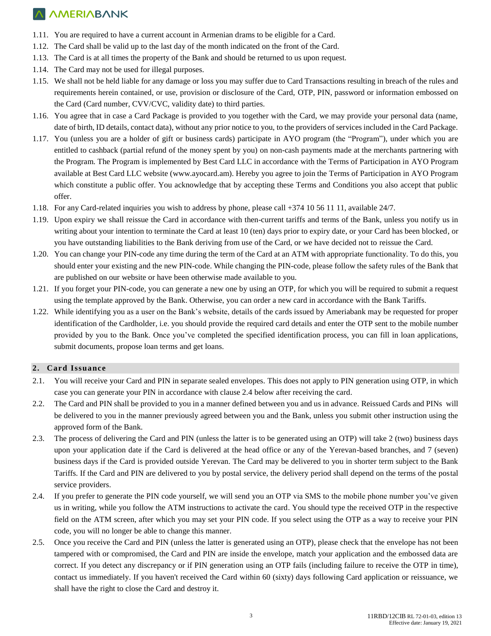- 1.11. You are required to have a current account in Armenian drams to be eligible for a Card.
- 1.12. The Card shall be valid up to the last day of the month indicated on the front of the Card.
- 1.13. The Card is at all times the property of the Bank and should be returned to us upon request.
- 1.14. The Card may not be used for illegal purposes.
- 1.15. We shall not be held liable for any damage or loss you may suffer due to Card Transactions resulting in breach of the rules and requirements herein contained, or use, provision or disclosure of the Card, OTP, PIN, password or information embossed on the Card (Card number, CVV/CVC, validity date) to third parties.
- 1.16. You agree that in case a Card Package is provided to you together with the Card, we may provide your personal data (name, date of birth, ID details, contact data), without any prior notice to you, to the providers of services included in the Card Package.
- 1.17. You (unless you are a holder of gift or business cards) participate in AYO program (the "Program"), under which you are entitled to cashback (partial refund of the money spent by you) on non-cash payments made at the merchants partnering with the Program. The Program is implemented by Best Card LLC in accordance with the Terms of Participation in AYO Program available at Best Card LLC website [\(www.ayocard.am\)](http://www.ayocard.am/). Hereby you agree to join the Terms of Participation in AYO Program which constitute a public offer. You acknowledge that by accepting these Terms and Conditions you also accept that public offer.
- 1.18. For any Card-related inquiries you wish to address by phone, please call +374 10 56 11 11, available 24/7.
- 1.19. Upon expiry we shall reissue the Card in accordance with then-current tariffs and terms of the Bank, unless you notify us in writing about your intention to terminate the Card at least 10 (ten) days prior to expiry date, or your Card has been blocked, or you have outstanding liabilities to the Bank deriving from use of the Card, or we have decided not to reissue the Card.
- 1.20. You can change your PIN-code any time during the term of the Card at an ATM with appropriate functionality. To do this, you should enter your existing and the new PIN-code. While changing the PIN-code, please follow the safety rules of the Bank that are published on our website or have been otherwise made available to you.
- 1.21. If you forget your PIN-code, you can generate a new one by using an OTP, for which you will be required to submit a request using the template approved by the Bank. Otherwise, you can order a new card in accordance with the Bank Tariffs.
- 1.22. While identifying you as a user on the Bank's website, details of the cards issued by Ameriabank may be requested for proper identification of the Cardholder, i.e. you should provide the required card details and enter the OTP sent to the mobile number provided by you to the Bank. Once you've completed the specified identification process, you can fill in loan applications, submit documents, propose loan terms and get loans.

### **2. Card Issuance**

- 2.1. You will receive your Card and PIN in separate sealed envelopes. This does not apply to PIN generation using OTP, in which case you can generate your PIN in accordance with clause 2.4 below after receiving the card.
- 2.2. The Card and PIN shall be provided to you in a manner defined between you and us in advance. Reissued Cards and PINs will be delivered to you in the manner previously agreed between you and the Bank, unless you submit other instruction using the approved form of the Bank.
- 2.3. The process of delivering the Card and PIN (unless the latter is to be generated using an OTP) will take 2 (two) business days upon your application date if the Card is delivered at the head office or any of the Yerevan-based branches, and 7 (seven) business days if the Card is provided outside Yerevan. The Card may be delivered to you in shorter term subject to the Bank Tariffs. If the Card and PIN are delivered to you by postal service, the delivery period shall depend on the terms of the postal service providers.
- 2.4. If you prefer to generate the PIN code yourself, we will send you an OTP via SMS to the mobile phone number you've given us in writing, while you follow the ATM instructions to activate the card. You should type the received OTP in the respective field on the ATM screen, after which you may set your PIN code. If you select using the OTP as a way to receive your PIN code, you will no longer be able to change this manner.
- 2.5. Once you receive the Card and PIN (unless the latter is generated using an OTP), please check that the envelope has not been tampered with or compromised, the Card and PIN are inside the envelope, match your application and the embossed data are correct. If you detect any discrepancy or if PIN generation using an OTP fails (including failure to receive the OTP in time), contact us immediately. If you haven't received the Card within 60 (sixty) days following Card application or reissuance, we shall have the right to close the Card and destroy it.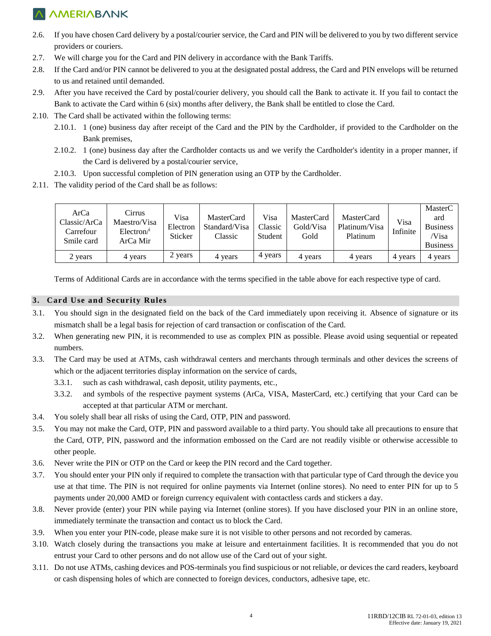- 2.6. If you have chosen Card delivery by a postal/courier service, the Card and PIN will be delivered to you by two different service providers or couriers.
- 2.7. We will charge you for the Card and PIN delivery in accordance with the Bank Tariffs.
- 2.8. If the Card and/or PIN cannot be delivered to you at the designated postal address, the Card and PIN envelops will be returned to us and retained until demanded.
- 2.9. After you have received the Card by postal/courier delivery, you should call the Bank to activate it. If you fail to contact the Bank to activate the Card within 6 (six) months after delivery, the Bank shall be entitled to close the Card.
- 2.10. The Card shall be activated within the following terms:
	- 2.10.1. 1 (one) business day after receipt of the Card and the PIN by the Cardholder, if provided to the Cardholder on the Bank premises,
	- 2.10.2. 1 (one) business day after the Cardholder contacts us and we verify the Cardholder's identity in a proper manner, if the Card is delivered by a postal/courier service,
	- 2.10.3. Upon successful completion of PIN generation using an OTP by the Cardholder.
- 2.11. The validity period of the Card shall be as follows:

| ArCa<br>Classic/ArCa<br>Carrefour<br>Smile card | Cirrus<br>Maestro/Visa<br>$Electron$ <sup>1</sup><br>ArCa Mir | Visa<br>Electron<br>Sticker | MasterCard<br>Standard/Visa<br>Classic | Visa<br>Classic<br>Student | <b>MasterCard</b><br>Gold/Visa<br>Gold | <b>MasterCard</b><br>Platinum/Visa<br>Platinum | Visa<br>Infinite | MasterC<br>ard<br><b>Business</b><br>/Visa<br><b>Business</b> |
|-------------------------------------------------|---------------------------------------------------------------|-----------------------------|----------------------------------------|----------------------------|----------------------------------------|------------------------------------------------|------------------|---------------------------------------------------------------|
| 2 years                                         | 4 years                                                       | 2 years                     | 4 years                                | 4 years                    | 4 years                                | 4 years                                        | 4 years          | 4 years                                                       |

Terms of Additional Cards are in accordance with the terms specified in the table above for each respective type of card.

### **3. Card Use and Security Rules**

- 3.1. You should sign in the designated field on the back of the Card immediately upon receiving it. Absence of signature or its mismatch shall be a legal basis for rejection of card transaction or confiscation of the Card.
- 3.2. When generating new PIN, it is recommended to use as complex PIN as possible. Please avoid using sequential or repeated numbers.
- 3.3. The Card may be used at ATMs, cash withdrawal centers and merchants through terminals and other devices the screens of which or the adjacent territories display information on the service of cards,
	- 3.3.1. such as cash withdrawal, cash deposit, utility payments, etc.,
	- 3.3.2. and symbols of the respective payment systems (ArCa, VISA, MasterCard, etc.) certifying that your Card can be accepted at that particular ATM or merchant.
- 3.4. You solely shall bear all risks of using the Card, OTP, PIN and password.
- 3.5. You may not make the Card, OTP, PIN and password available to a third party. You should take all precautions to ensure that the Card, OTP, PIN, password and the information embossed on the Card are not readily visible or otherwise accessible to other people.
- 3.6. Never write the PIN or OTP on the Card or keep the PIN record and the Card together.
- 3.7. You should enter your PIN only if required to complete the transaction with that particular type of Card through the device you use at that time. The PIN is not required for online payments via Internet (online stores). No need to enter PIN for up to 5 payments under 20,000 AMD or foreign currency equivalent with contactless cards and stickers a day.
- 3.8. Never provide (enter) your PIN while paying via Internet (online stores). If you have disclosed your PIN in an online store, immediately terminate the transaction and contact us to block the Card.
- 3.9. When you enter your PIN-code, please make sure it is not visible to other persons and not recorded by cameras.
- 3.10. Watch closely during the transactions you make at leisure and entertainment facilities. It is recommended that you do not entrust your Card to other persons and do not allow use of the Card out of your sight.
- 3.11. Do not use ATMs, cashing devices and POS-terminals you find suspicious or not reliable, or devices the card readers, keyboard or cash dispensing holes of which are connected to foreign devices, conductors, adhesive tape, etc.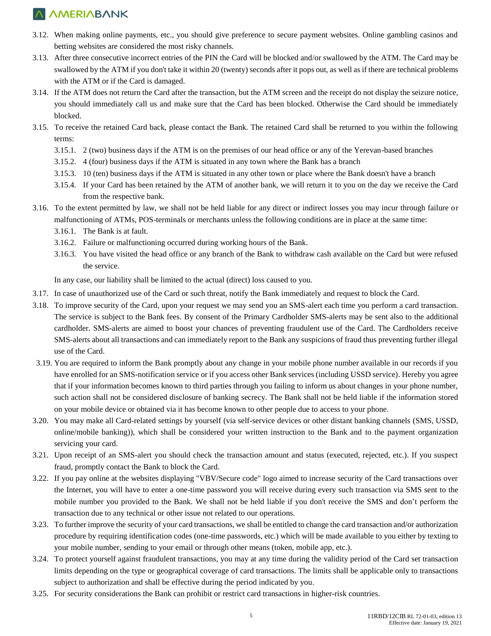- 3.12. When making online payments, etc., you should give preference to secure payment websites. Online gambling casinos and betting websites are considered the most risky channels.
- 3.13. After three consecutive incorrect entries of the PIN the Card will be blocked and/or swallowed by the ATM. The Card may be swallowed by the ATM if you don't take it within 20 (twenty) seconds after it pops out, as well as if there are technical problems with the ATM or if the Card is damaged.
- 3.14. If the ATM does not return the Card after the transaction, but the ATM screen and the receipt do not display the seizure notice, you should immediately call us and make sure that the Card has been blocked. Otherwise the Card should be immediately blocked.
- 3.15. To receive the retained Card back, please contact the Bank. The retained Card shall be returned to you within the following terms:
	- 3.15.1. 2 (two) business days if the ATM is on the premises of our head office or any of the Yerevan-based branches
	- 3.15.2. 4 (four) business days if the ATM is situated in any town where the Bank has a branch
	- 3.15.3. 10 (ten) business days if the ATM is situated in any other town or place where the Bank doesn't have a branch
	- 3.15.4. If your Card has been retained by the ATM of another bank, we will return it to you on the day we receive the Card from the respective bank.
- 3.16. To the extent permitted by law, we shall not be held liable for any direct or indirect losses you may incur through failure or malfunctioning of ATMs, POS-terminals or merchants unless the following conditions are in place at the same time:
	- 3.16.1. The Bank is at fault.
	- 3.16.2. Failure or malfunctioning occurred during working hours of the Bank.
	- 3.16.3. You have visited the head office or any branch of the Bank to withdraw cash available on the Card but were refused the service.

In any case, our liability shall be limited to the actual (direct) loss caused to you.

- 3.17. In case of unauthorized use of the Card or such threat, notify the Bank immediately and request to block the Card.
- 3.18. To improve security of the Card, upon your request we may send you an SMS-alert each time you perform a card transaction. The service is subject to the Bank fees. By consent of the Primary Cardholder SMS-alerts may be sent also to the additional cardholder. SMS-alerts are aimed to boost your chances of preventing fraudulent use of the Card. The Cardholders receive SMS-alerts about all transactions and can immediately report to the Bank any suspicions of fraud thus preventing further illegal use of the Card.
- 3.19. You are required to inform the Bank promptly about any change in your mobile phone number available in our records if you have enrolled for an SMS-notification service or if you access other Bank services (including USSD service). Hereby you agree that if your information becomes known to third parties through you failing to inform us about changes in your phone number, such action shall not be considered disclosure of banking secrecy. The Bank shall not be held liable if the information stored on your mobile device or obtained via it has become known to other people due to access to your phone.
- 3.20. You may make all Card-related settings by yourself (via self-service devices or other distant banking channels (SMS, USSD, online/mobile banking)), which shall be considered your written instruction to the Bank and to the payment organization servicing your card.
- 3.21. Upon receipt of an SMS-alert you should check the transaction amount and status (executed, rejected, etc.). If you suspect fraud, promptly contact the Bank to block the Card.
- 3.22. If you pay online at the websites displaying "VBV/Secure code" logo aimed to increase security of the Card transactions over the Internet, you will have to enter a one-time password you will receive during every such transaction via SMS sent to the mobile number you provided to the Bank. We shall not be held liable if you don't receive the SMS and don't perform the transaction due to any technical or other issue not related to our operations.
- 3.23. To further improve the security of your card transactions, we shall be entitled to change the card transaction and/or authorization procedure by requiring identification codes (one-time passwords, etc.) which will be made available to you either by texting to your mobile number, sending to your email or through other means (token, mobile app, etc.).
- 3.24. To protect yourself against fraudulent transactions, you may at any time during the validity period of the Card set transaction limits depending on the type or geographical coverage of card transactions. The limits shall be applicable only to transactions subject to authorization and shall be effective during the period indicated by you.
- 3.25. For security considerations the Bank can prohibit or restrict card transactions in higher-risk countries.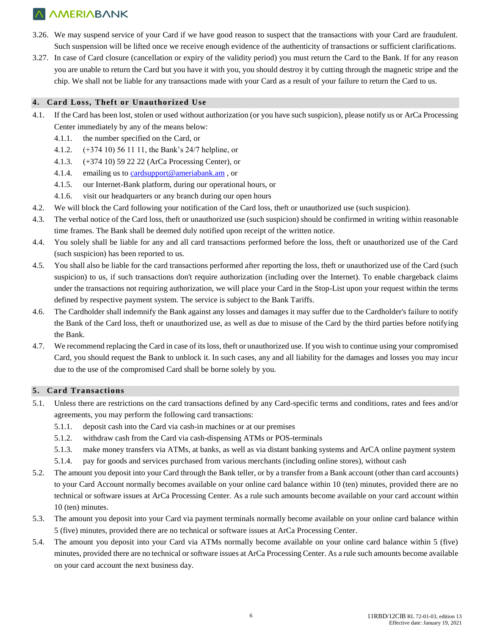- 3.26. We may suspend service of your Card if we have good reason to suspect that the transactions with your Card are fraudulent. Such suspension will be lifted once we receive enough evidence of the authenticity of transactions or sufficient clarifications.
- 3.27. In case of Card closure (cancellation or expiry of the validity period) you must return the Card to the Bank. If for any reason you are unable to return the Card but you have it with you, you should destroy it by cutting through the magnetic stripe and the chip. We shall not be liable for any transactions made with your Card as a result of your failure to return the Card to us.

### **4. Card Loss, Theft or Unauthorized Use**

- 4.1. If the Card has been lost, stolen or used without authorization (or you have such suspicion), please notify us or ArCa Processing Center immediately by any of the means below:
	- 4.1.1. the number specified on the Card, or
	- 4.1.2. (+374 10) 56 11 11, the Bank's 24/7 helpline, or
	- 4.1.3. (+374 10) 59 22 22 (ArCa Processing Center), or
	- 4.1.4. emailing us t[o cardsupport@ameriabank.am](mailto:cardsupport@ameriabank.am) , or
	- 4.1.5. our Internet-Bank platform, during our operational hours, or
	- 4.1.6. visit our headquarters or any branch during our open hours
- 4.2. We will block the Card following your notification of the Card loss, theft or unauthorized use (such suspicion).
- 4.3. The verbal notice of the Card loss, theft or unauthorized use (such suspicion) should be confirmed in writing within reasonable time frames. The Bank shall be deemed duly notified upon receipt of the written notice.
- 4.4. You solely shall be liable for any and all card transactions performed before the loss, theft or unauthorized use of the Card (such suspicion) has been reported to us.
- 4.5. You shall also be liable for the card transactions performed after reporting the loss, theft or unauthorized use of the Card (such suspicion) to us, if such transactions don't require authorization (including over the Internet). To enable chargeback claims under the transactions not requiring authorization, we will place your Card in the Stop-List upon your request within the terms defined by respective payment system. The service is subject to the Bank Tariffs.
- 4.6. The Cardholder shall indemnify the Bank against any losses and damages it may suffer due to the Cardholder's failure to notify the Bank of the Card loss, theft or unauthorized use, as well as due to misuse of the Card by the third parties before notifying the Bank.
- 4.7. We recommend replacing the Card in case of its loss, theft or unauthorized use. If you wish to continue using your compromised Card, you should request the Bank to unblock it. In such cases, any and all liability for the damages and losses you may incur due to the use of the compromised Card shall be borne solely by you.

### **5. Card Transactions**

- 5.1. Unless there are restrictions on the card transactions defined by any Card-specific terms and conditions, rates and fees and/or agreements, you may perform the following card transactions:
	- 5.1.1. deposit cash into the Card via cash-in machines or at our premises
	- 5.1.2. withdraw cash from the Card via cash-dispensing ATMs or POS-terminals
	- 5.1.3. make money transfers via ATMs, at banks, as well as via distant banking systems and ArCA online payment system
	- 5.1.4. pay for goods and services purchased from various merchants (including online stores), without cash
- 5.2. The amount you deposit into your Card through the Bank teller, or by a transfer from a Bank account (other than card accounts) to your Card Account normally becomes available on your online card balance within 10 (ten) minutes, provided there are no technical or software issues at ArCa Processing Center. As a rule such amounts become available on your card account within 10 (ten) minutes.
- 5.3. The amount you deposit into your Card via payment terminals normally become available on your online card balance within 5 (five) minutes, provided there are no technical or software issues at ArCa Processing Center.
- 5.4. The amount you deposit into your Card via ATMs normally become available on your online card balance within 5 (five) minutes, provided there are no technical or software issues at ArCa Processing Center. As a rule such amounts become available on your card account the next business day.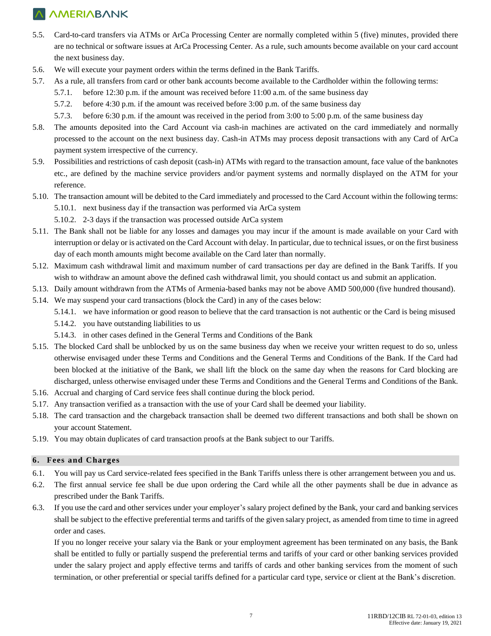- 5.5. Card-to-card transfers via ATMs or ArCa Processing Center are normally completed within 5 (five) minutes, provided there are no technical or software issues at ArCa Processing Center. As a rule, such amounts become available on your card account the next business day.
- 5.6. We will execute your payment orders within the terms defined in the Bank Tariffs.
- 5.7. As a rule, all transfers from card or other bank accounts become available to the Cardholder within the following terms:
	- 5.7.1. before 12:30 p.m. if the amount was received before 11:00 a.m. of the same business day
	- 5.7.2. before 4:30 p.m. if the amount was received before 3:00 p.m. of the same business day
	- 5.7.3. before 6:30 p.m. if the amount was received in the period from 3:00 to 5:00 p.m. of the same business day
- 5.8. The amounts deposited into the Card Account via cash-in machines are activated on the card immediately and normally processed to the account on the next business day. Cash-in ATMs may process deposit transactions with any Card of ArCa payment system irrespective of the currency.
- 5.9. Possibilities and restrictions of cash deposit (cash-in) ATMs with regard to the transaction amount, face value of the banknotes etc., are defined by the machine service providers and/or payment systems and normally displayed on the ATM for your reference.
- 5.10. The transaction amount will be debited to the Card immediately and processed to the Card Account within the following terms: 5.10.1. next business day if the transaction was performed via ArCa system 5.10.2. 2-3 days if the transaction was processed outside ArCa system
- 5.11. The Bank shall not be liable for any losses and damages you may incur if the amount is made available on your Card with interruption or delay or is activated on the Card Account with delay. In particular, due to technical issues, or on the first business day of each month amounts might become available on the Card later than normally.
- 5.12. Maximum cash withdrawal limit and maximum number of card transactions per day are defined in the Bank Tariffs. If you wish to withdraw an amount above the defined cash withdrawal limit, you should contact us and submit an application.
- 5.13. Daily amount withdrawn from the ATMs of Armenia-based banks may not be above AMD 500,000 (five hundred thousand).
- 5.14. We may suspend your card transactions (block the Card) in any of the cases below:
	- 5.14.1. we have information or good reason to believe that the card transaction is not authentic or the Card is being misused
	- 5.14.2. you have outstanding liabilities to us
	- 5.14.3. in other cases defined in the General Terms and Conditions of the Bank
- 5.15. The blocked Card shall be unblocked by us on the same business day when we receive your written request to do so, unless otherwise envisaged under these Terms and Conditions and the General Terms and Conditions of the Bank. If the Card had been blocked at the initiative of the Bank, we shall lift the block on the same day when the reasons for Card blocking are discharged, unless otherwise envisaged under these Terms and Conditions and the General Terms and Conditions of the Bank.
- 5.16. Accrual and charging of Card service fees shall continue during the block period.
- 5.17. Any transaction verified as a transaction with the use of your Card shall be deemed your liability.
- 5.18. The card transaction and the chargeback transaction shall be deemed two different transactions and both shall be shown on your account Statement.
- 5.19. You may obtain duplicates of card transaction proofs at the Bank subject to our Tariffs.

#### **6. Fees and Charges**

- 6.1. You will pay us Card service-related fees specified in the Bank Tariffs unless there is other arrangement between you and us.
- 6.2. The first annual service fee shall be due upon ordering the Card while all the other payments shall be due in advance as prescribed under the Bank Tariffs.
- 6.3. If you use the card and other services under your employer's salary project defined by the Bank, your card and banking services shall be subject to the effective preferential terms and tariffs of the given salary project, as amended from time to time in agreed order and cases.

If you no longer receive your salary via the Bank or your employment agreement has been terminated on any basis, the Bank shall be entitled to fully or partially suspend the preferential terms and tariffs of your card or other banking services provided under the salary project and apply effective terms and tariffs of cards and other banking services from the moment of such termination, or other preferential or special tariffs defined for a particular card type, service or client at the Bank's discretion.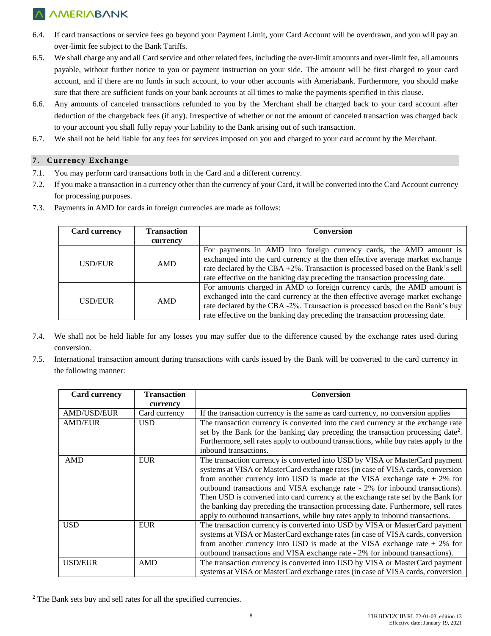- 6.4. If card transactions or service fees go beyond your Payment Limit, your Card Account will be overdrawn, and you will pay an over-limit fee subject to the Bank Tariffs.
- 6.5. We shall charge any and all Card service and other related fees, including the over-limit amounts and over-limit fee, all amounts payable, without further notice to you or payment instruction on your side. The amount will be first charged to your card account, and if there are no funds in such account, to your other accounts with Ameriabank. Furthermore, you should make sure that there are sufficient funds on your bank accounts at all times to make the payments specified in this clause.
- 6.6. Any amounts of canceled transactions refunded to you by the Merchant shall be charged back to your card account after deduction of the chargeback fees (if any). Irrespective of whether or not the amount of canceled transaction was charged back to your account you shall fully repay your liability to the Bank arising out of such transaction.
- 6.7. We shall not be held liable for any fees for services imposed on you and charged to your card account by the Merchant.

### **7. Currency Exchange**

- 7.1. You may perform card transactions both in the Card and a different currency.
- 7.2. If you make a transaction in a currency other than the currency of your Card, it will be converted into the Card Account currency for processing purposes.
- 7.3. Payments in AMD for cards in foreign currencies are made as follows:

| <b>Card currency</b> | <b>Transaction</b> | Conversion                                                                                                                                                                                                                                                                                                                  |  |  |
|----------------------|--------------------|-----------------------------------------------------------------------------------------------------------------------------------------------------------------------------------------------------------------------------------------------------------------------------------------------------------------------------|--|--|
|                      | currency           |                                                                                                                                                                                                                                                                                                                             |  |  |
| USD/EUR              | AMD                | For payments in AMD into foreign currency cards, the AMD amount is<br>exchanged into the card currency at the then effective average market exchange<br>rate declared by the CBA +2%. Transaction is processed based on the Bank's sell<br>rate effective on the banking day preceding the transaction processing date.     |  |  |
| USD/EUR              | AMD                | For amounts charged in AMD to foreign currency cards, the AMD amount is<br>exchanged into the card currency at the then effective average market exchange<br>rate declared by the CBA -2%. Transaction is processed based on the Bank's buy<br>rate effective on the banking day preceding the transaction processing date. |  |  |

- 7.4. We shall not be held liable for any losses you may suffer due to the difference caused by the exchange rates used during conversion.
- 7.5. International transaction amount during transactions with cards issued by the Bank will be converted to the card currency in the following manner:

| <b>Card currency</b> | <b>Transaction</b> | <b>Conversion</b>                                                                            |
|----------------------|--------------------|----------------------------------------------------------------------------------------------|
|                      | currency           |                                                                                              |
| <b>AMD/USD/EUR</b>   | Card currency      | If the transaction currency is the same as card currency, no conversion applies              |
| <b>AMD/EUR</b>       | <b>USD</b>         | The transaction currency is converted into the card currency at the exchange rate            |
|                      |                    | set by the Bank for the banking day preceding the transaction processing date <sup>2</sup> . |
|                      |                    | Furthermore, sell rates apply to outbound transactions, while buy rates apply to the         |
|                      |                    | inbound transactions.                                                                        |
| <b>AMD</b>           | <b>EUR</b>         | The transaction currency is converted into USD by VISA or MasterCard payment                 |
|                      |                    | systems at VISA or MasterCard exchange rates (in case of VISA cards, conversion              |
|                      |                    | from another currency into USD is made at the VISA exchange rate $+2\%$ for                  |
|                      |                    | outbound transactions and VISA exchange rate - 2% for inbound transactions).                 |
|                      |                    | Then USD is converted into card currency at the exchange rate set by the Bank for            |
|                      |                    | the banking day preceding the transaction processing date. Furthermore, sell rates           |
|                      |                    | apply to outbound transactions, while buy rates apply to inbound transactions.               |
| <b>USD</b>           | <b>EUR</b>         | The transaction currency is converted into USD by VISA or MasterCard payment                 |
|                      |                    | systems at VISA or MasterCard exchange rates (in case of VISA cards, conversion              |
|                      |                    | from another currency into USD is made at the VISA exchange rate $+2\%$ for                  |
|                      |                    | outbound transactions and VISA exchange rate - 2% for inbound transactions).                 |
| <b>USD/EUR</b>       | AMD                | The transaction currency is converted into USD by VISA or MasterCard payment                 |
|                      |                    | systems at VISA or MasterCard exchange rates (in case of VISA cards, conversion              |

<sup>&</sup>lt;sup>2</sup> The Bank sets buy and sell rates for all the specified currencies.

 $\overline{a}$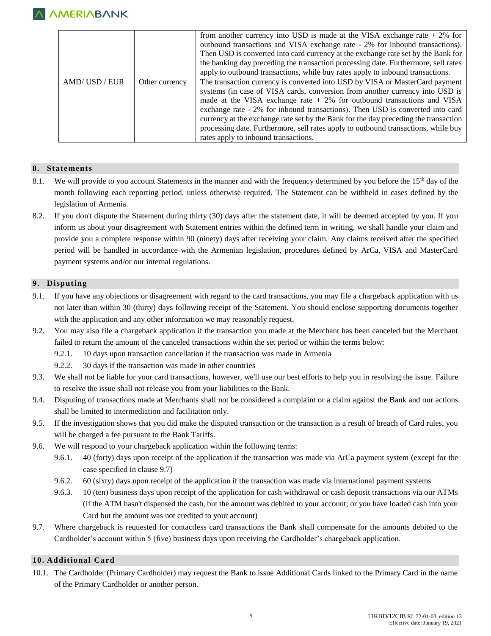|             |                | from another currency into USD is made at the VISA exchange rate $+2\%$ for<br>outbound transactions and VISA exchange rate - 2% for inbound transactions).<br>Then USD is converted into card currency at the exchange rate set by the Bank for<br>the banking day preceding the transaction processing date. Furthermore, sell rates                                                                                                                                                                                                         |
|-------------|----------------|------------------------------------------------------------------------------------------------------------------------------------------------------------------------------------------------------------------------------------------------------------------------------------------------------------------------------------------------------------------------------------------------------------------------------------------------------------------------------------------------------------------------------------------------|
|             |                | apply to outbound transactions, while buy rates apply to inbound transactions.                                                                                                                                                                                                                                                                                                                                                                                                                                                                 |
| AMD/USD/EUR | Other currency | The transaction currency is converted into USD by VISA or MasterCard payment<br>systems (in case of VISA cards, conversion from another currency into USD is<br>made at the VISA exchange rate $+2\%$ for outbound transactions and VISA<br>exchange rate - 2% for inbound transactions). Then USD is converted into card<br>currency at the exchange rate set by the Bank for the day preceding the transaction<br>processing date. Furthermore, sell rates apply to outbound transactions, while buy<br>rates apply to inbound transactions. |

### **8. Statements**

- 8.1. We will provide to you account Statements in the manner and with the frequency determined by you before the 15<sup>th</sup> day of the month following each reporting period, unless otherwise required. The Statement can be withheld in cases defined by the legislation of Armenia.
- 8.2. If you don't dispute the Statement during thirty (30) days after the statement date, it will be deemed accepted by you. If you inform us about your disagreement with Statement entries within the defined term in writing, we shall handle your claim and provide you a complete response within 90 (ninety) days after receiving your claim. Any claims received after the specified period will be handled in accordance with the Armenian legislation, procedures defined by ArCa, VISA and MasterCard payment systems and/or our internal regulations.

### **9. Disputing**

- 9.1. If you have any objections or disagreement with regard to the card transactions, you may file a chargeback application with us not later than within 30 (thirty) days following receipt of the Statement. You should enclose supporting documents together with the application and any other information we may reasonably request.
- 9.2. You may also file a chargeback application if the transaction you made at the Merchant has been canceled but the Merchant failed to return the amount of the canceled transactions within the set period or within the terms below:
	- 9.2.1. 10 days upon transaction cancellation if the transaction was made in Armenia
	- 9.2.2. 30 days if the transaction was made in other countries
- 9.3. We shall not be liable for your card transactions, however, we'll use our best efforts to help you in resolving the issue. Failure to resolve the issue shall not release you from your liabilities to the Bank.
- 9.4. Disputing of transactions made at Merchants shall not be considered a complaint or a claim against the Bank and our actions shall be limited to intermediation and facilitation only.
- 9.5. If the investigation shows that you did make the disputed transaction or the transaction is a result of breach of Card rules, you will be charged a fee pursuant to the Bank Tariffs.
- 9.6. We will respond to your chargeback application within the following terms:
	- 9.6.1. 40 (forty) days upon receipt of the application if the transaction was made via ArCa payment system (except for the case specified in clause 9.7)
	- 9.6.2. 60 (sixty) days upon receipt of the application if the transaction was made via international payment systems
	- 9.6.3. 10 (ten) business days upon receipt of the application for cash withdrawal or cash deposit transactions via our ATMs (if the ATM hasn't dispensed the cash, but the amount was debited to your account; or you have loaded cash into your Card but the amount was not credited to your account)
- 9.7. Where chargeback is requested for contactless card transactions the Bank shall compensate for the amounts debited to the Cardholder's account within 5 (five) business days upon receiving the Cardholder's chargeback application.

#### **10. Additional Card**

10.1. The Cardholder (Primary Cardholder) may request the Bank to issue Additional Cards linked to the Primary Card in the name of the Primary Cardholder or another person.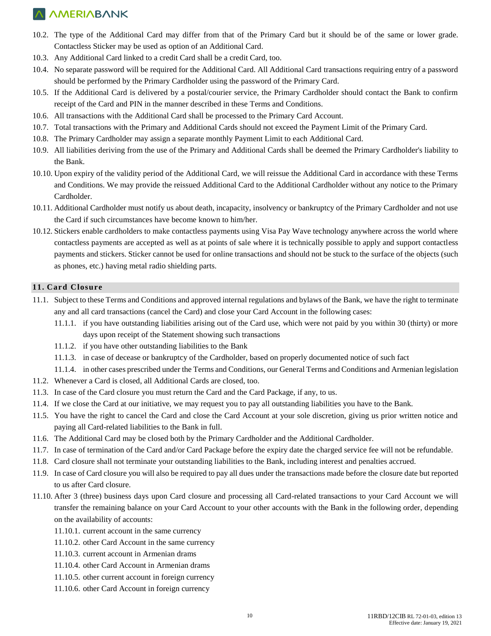- 10.2. The type of the Additional Card may differ from that of the Primary Card but it should be of the same or lower grade. Contactless Sticker may be used as option of an Additional Card.
- 10.3. Any Additional Card linked to a credit Card shall be a credit Card, too.
- 10.4. No separate password will be required for the Additional Card. All Additional Card transactions requiring entry of a password should be performed by the Primary Cardholder using the password of the Primary Card.
- 10.5. If the Additional Card is delivered by a postal/courier service, the Primary Cardholder should contact the Bank to confirm receipt of the Card and PIN in the manner described in these Terms and Conditions.
- 10.6. All transactions with the Additional Card shall be processed to the Primary Card Account.
- 10.7. Total transactions with the Primary and Additional Cards should not exceed the Payment Limit of the Primary Card.
- 10.8. The Primary Cardholder may assign a separate monthly Payment Limit to each Additional Card.
- 10.9. All liabilities deriving from the use of the Primary and Additional Cards shall be deemed the Primary Cardholder's liability to the Bank.
- 10.10. Upon expiry of the validity period of the Additional Card, we will reissue the Additional Card in accordance with these Terms and Conditions. We may provide the reissued Additional Card to the Additional Cardholder without any notice to the Primary Cardholder.
- 10.11. Additional Cardholder must notify us about death, incapacity, insolvency or bankruptcy of the Primary Cardholder and not use the Card if such circumstances have become known to him/her.
- 10.12. Stickers enable cardholders to make contactless payments using Visa Pay Wave technology anywhere across the world where contactless payments are accepted as well as at points of sale where it is technically possible to apply and support contactless payments and stickers. Sticker cannot be used for online transactions and should not be stuck to the surface of the objects (such as phones, etc.) having metal radio shielding parts.

### **11. Card Closure**

- 11.1. Subject to these Terms and Conditions and approved internal regulations and bylaws of the Bank, we have the right to terminate any and all card transactions (cancel the Card) and close your Card Account in the following cases:
	- 11.1.1. if you have outstanding liabilities arising out of the Card use, which were not paid by you within 30 (thirty) or more days upon receipt of the Statement showing such transactions
	- 11.1.2. if you have other outstanding liabilities to the Bank
	- 11.1.3. in case of decease or bankruptcy of the Cardholder, based on properly documented notice of such fact
- 11.1.4. in other cases prescribed under the Terms and Conditions, our General Terms and Conditions and Armenian legislation
- 11.2. Whenever a Card is closed, all Additional Cards are closed, too.
- 11.3. In case of the Card closure you must return the Card and the Card Package, if any, to us.
- 11.4. If we close the Card at our initiative, we may request you to pay all outstanding liabilities you have to the Bank.
- 11.5. You have the right to cancel the Card and close the Card Account at your sole discretion, giving us prior written notice and paying all Card-related liabilities to the Bank in full.
- 11.6. The Additional Card may be closed both by the Primary Cardholder and the Additional Cardholder.
- 11.7. In case of termination of the Card and/or Card Package before the expiry date the charged service fee will not be refundable.
- 11.8. Card closure shall not terminate your outstanding liabilities to the Bank, including interest and penalties accrued.
- 11.9. In case of Card closure you will also be required to pay all dues under the transactions made before the closure date but reported to us after Card closure.
- 11.10. After 3 (three) business days upon Card closure and processing all Card-related transactions to your Card Account we will transfer the remaining balance on your Card Account to your other accounts with the Bank in the following order, depending on the availability of accounts:
	- 11.10.1. current account in the same currency
	- 11.10.2. other Card Account in the same currency
	- 11.10.3. current account in Armenian drams
	- 11.10.4. other Card Account in Armenian drams
	- 11.10.5. other current account in foreign currency
	- 11.10.6. other Card Account in foreign currency